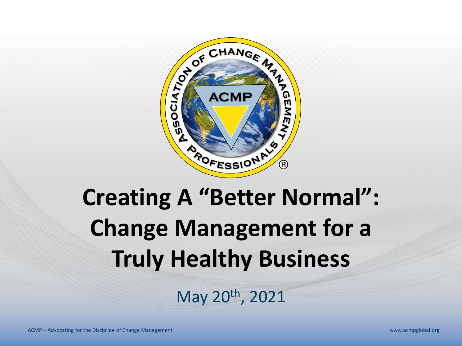

# **Creating A "Better Normal": Change Management for a Truly Healthy Business**

May 20th, 2021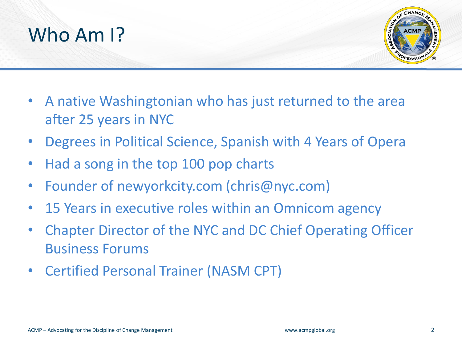



- A native Washingtonian who has just returned to the area after 25 years in NYC
- Degrees in Political Science, Spanish with 4 Years of Opera
- Had a song in the top 100 pop charts
- Founder of newyorkcity.com (chris@nyc.com)
- 15 Years in executive roles within an Omnicom agency
- Chapter Director of the NYC and DC Chief Operating Officer Business Forums
- Certified Personal Trainer (NASM CPT)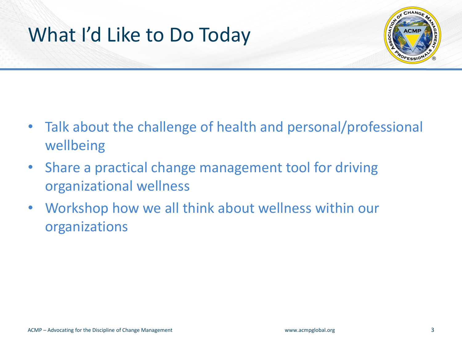## What I'd Like to Do Today



- Talk about the challenge of health and personal/professional wellbeing
- Share a practical change management tool for driving organizational wellness
- Workshop how we all think about wellness within our organizations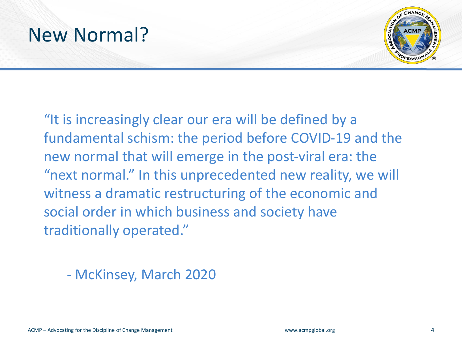### New Normal?



"It is increasingly clear our era will be defined by a fundamental schism: the period before COVID-19 and the new normal that will emerge in the post-viral era: the "next normal." In this unprecedented new reality, we will witness a dramatic restructuring of the economic and social order in which business and society have traditionally operated."

- McKinsey, March 2020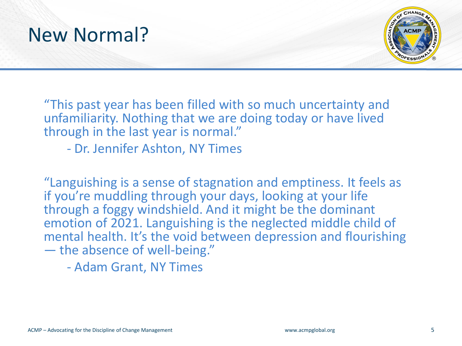



"This past year has been filled with so much uncertainty and unfamiliarity. Nothing that we are doing today or have lived through in the last year is normal."

- Dr. Jennifer Ashton, NY Times

"Languishing is a sense of stagnation and emptiness. It feels as if you're muddling through your days, looking at your life through a foggy windshield. And it might be the dominant emotion of 2021. Languishing is the neglected middle child of mental health. It's the void between depression and flourishing — the absence of well-being."

- Adam Grant, NY Times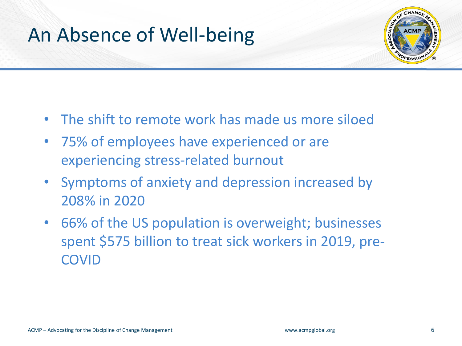## An Absence of Well-being



- The shift to remote work has made us more siloed
- 75% of employees have experienced or are experiencing stress-related burnout
- Symptoms of anxiety and depression increased by 208% in 2020
- 66% of the US population is overweight; businesses spent \$575 billion to treat sick workers in 2019, pre-COVID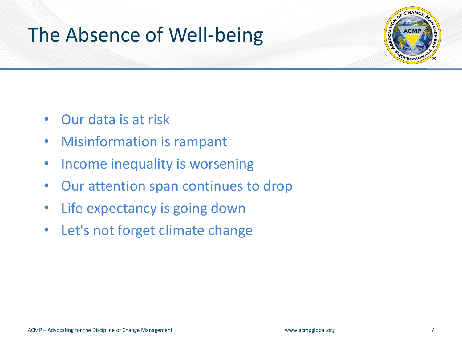### The Absence of Well-being



- Our data is at risk
- Misinformation is rampant
- Income inequality is worsening
- Our attention span continues to drop
- Life expectancy is going down
- Let's not forget climate change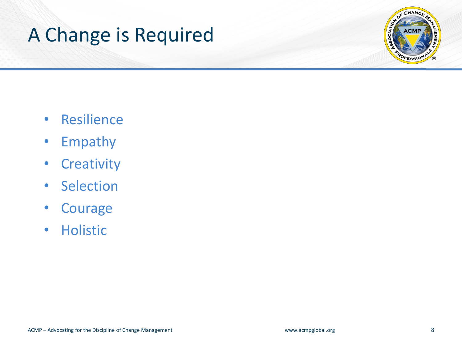## A Change is Required



- Resilience
- Empathy
- Creativity
- Selection
- Courage
- Holistic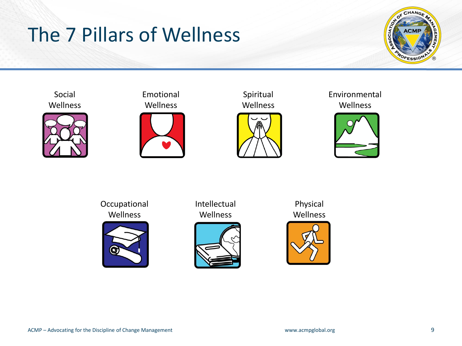## The 7 Pillars of Wellness









Spiritual Wellness



Environmental Wellness



Occupational Wellness



Intellectual Wellness



Physical Wellness

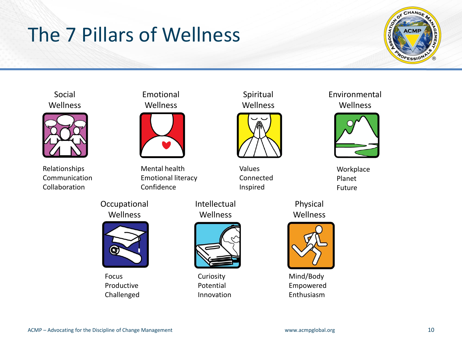# The 7 Pillars of Wellness







Relationships Communication Collaboration

#### Emotional **Wellness**



Mental health Emotional literacy Confidence





Focus Productive Challenged

Intellectual Wellness



Curiosity Potential Innovation

Spiritual **Wellness** 



Values Connected Inspired

Physical Wellness



Mind/Body Empowered Enthusiasm

#### Environmental Wellness



**Workplace** Planet Future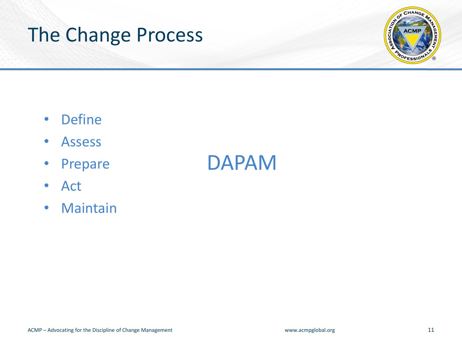### The Change Process



- Define
- Assess
- Prepare
- Act
- Maintain

### DAPAM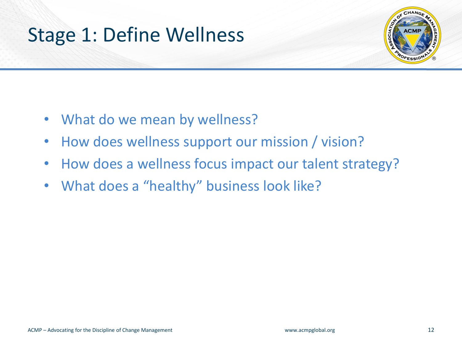### Stage 1: Define Wellness



- What do we mean by wellness?
- How does wellness support our mission / vision?
- How does a wellness focus impact our talent strategy?
- What does a "healthy" business look like?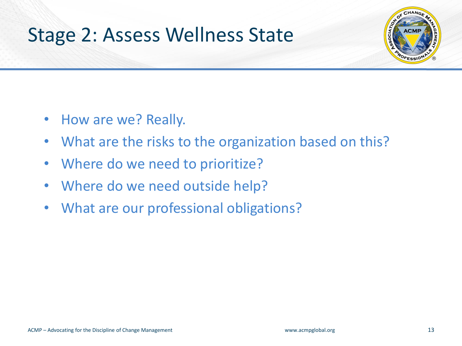### Stage 2: Assess Wellness State



- How are we? Really.
- What are the risks to the organization based on this?
- Where do we need to prioritize?
- Where do we need outside help?
- What are our professional obligations?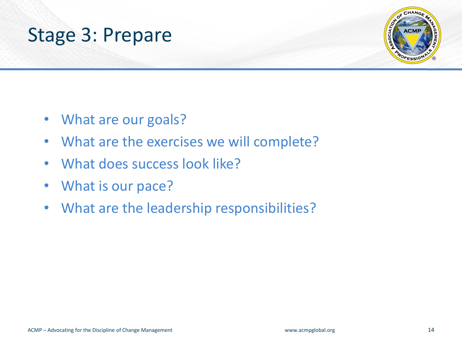



- What are our goals?
- What are the exercises we will complete?
- What does success look like?
- What is our pace?
- What are the leadership responsibilities?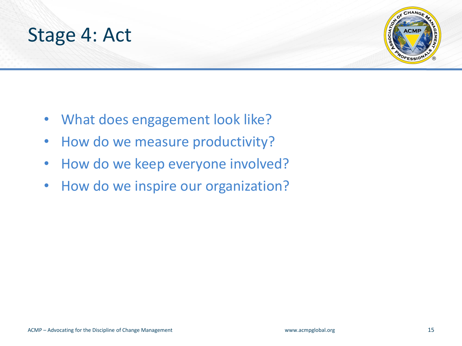



- What does engagement look like?
- How do we measure productivity?
- How do we keep everyone involved?
- How do we inspire our organization?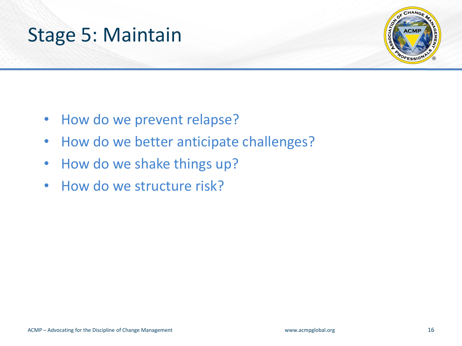



- How do we prevent relapse?
- How do we better anticipate challenges?
- How do we shake things up?
- How do we structure risk?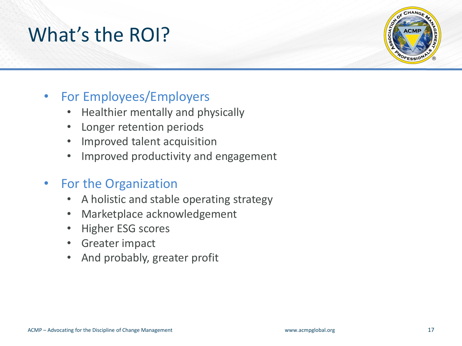### What's the ROI?



### • For Employees/Employers

- Healthier mentally and physically
- Longer retention periods
- Improved talent acquisition
- Improved productivity and engagement
- For the Organization
	- A holistic and stable operating strategy
	- Marketplace acknowledgement
	- Higher ESG scores
	- Greater impact
	- And probably, greater profit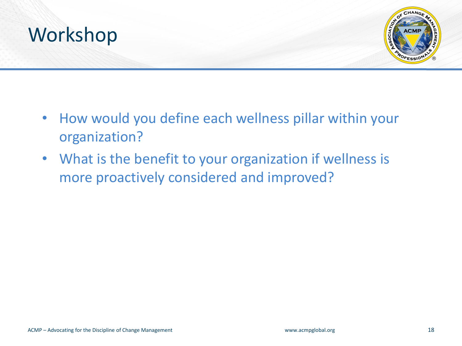



- How would you define each wellness pillar within your organization?
- What is the benefit to your organization if wellness is more proactively considered and improved?